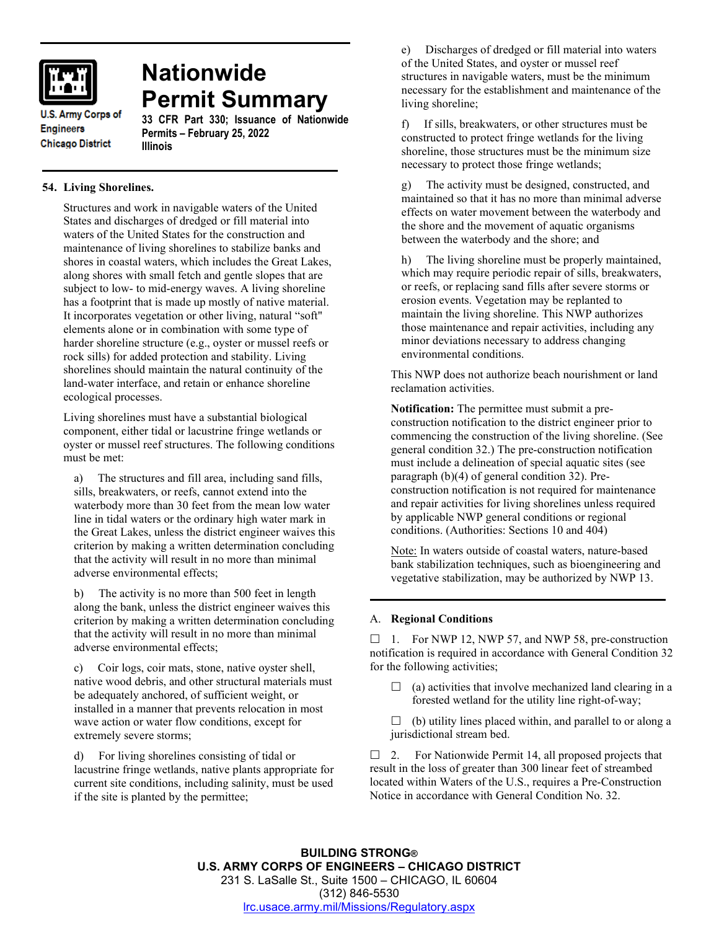

**U.S. Army Corps of Engineers Chicago District** 

# **Nationwide Permit Summary**

**33 CFR Part 330; Issuance of Nationwide Permits – February 25, 2022 Illinois**

# **54. Living Shorelines.**

Structures and work in navigable waters of the United States and discharges of dredged or fill material into waters of the United States for the construction and maintenance of living shorelines to stabilize banks and shores in coastal waters, which includes the Great Lakes, along shores with small fetch and gentle slopes that are subject to low- to mid-energy waves. A living shoreline has a footprint that is made up mostly of native material. It incorporates vegetation or other living, natural "soft" elements alone or in combination with some type of harder shoreline structure (e.g., oyster or mussel reefs or rock sills) for added protection and stability. Living shorelines should maintain the natural continuity of the land-water interface, and retain or enhance shoreline ecological processes.

Living shorelines must have a substantial biological component, either tidal or lacustrine fringe wetlands or oyster or mussel reef structures. The following conditions must be met:

a) The structures and fill area, including sand fills, sills, breakwaters, or reefs, cannot extend into the waterbody more than 30 feet from the mean low water line in tidal waters or the ordinary high water mark in the Great Lakes, unless the district engineer waives this criterion by making a written determination concluding that the activity will result in no more than minimal adverse environmental effects;

b) The activity is no more than 500 feet in length along the bank, unless the district engineer waives this criterion by making a written determination concluding that the activity will result in no more than minimal adverse environmental effects;

c) Coir logs, coir mats, stone, native oyster shell, native wood debris, and other structural materials must be adequately anchored, of sufficient weight, or installed in a manner that prevents relocation in most wave action or water flow conditions, except for extremely severe storms;

d) For living shorelines consisting of tidal or lacustrine fringe wetlands, native plants appropriate for current site conditions, including salinity, must be used if the site is planted by the permittee;

e) Discharges of dredged or fill material into waters of the United States, and oyster or mussel reef structures in navigable waters, must be the minimum necessary for the establishment and maintenance of the living shoreline;

f) If sills, breakwaters, or other structures must be constructed to protect fringe wetlands for the living shoreline, those structures must be the minimum size necessary to protect those fringe wetlands;

g) The activity must be designed, constructed, and maintained so that it has no more than minimal adverse effects on water movement between the waterbody and the shore and the movement of aquatic organisms between the waterbody and the shore; and

The living shoreline must be properly maintained, which may require periodic repair of sills, breakwaters, or reefs, or replacing sand fills after severe storms or erosion events. Vegetation may be replanted to maintain the living shoreline. This NWP authorizes those maintenance and repair activities, including any minor deviations necessary to address changing environmental conditions.

This NWP does not authorize beach nourishment or land reclamation activities.

**Notification:** The permittee must submit a preconstruction notification to the district engineer prior to commencing the construction of the living shoreline. (See general condition 32.) The pre-construction notification must include a delineation of special aquatic sites (see paragraph (b)(4) of general condition 32). Preconstruction notification is not required for maintenance and repair activities for living shorelines unless required by applicable NWP general conditions or regional conditions. (Authorities: Sections 10 and 404)

Note: In waters outside of coastal waters, nature-based bank stabilization techniques, such as bioengineering and vegetative stabilization, may be authorized by NWP 13.

# A. **Regional Conditions**

 $\Box$  1. For NWP 12, NWP 57, and NWP 58, pre-construction notification is required in accordance with General Condition 32 for the following activities;

 $\Box$  (a) activities that involve mechanized land clearing in a forested wetland for the utility line right-of-way;

 $\Box$  (b) utility lines placed within, and parallel to or along a jurisdictional stream bed.

 $\Box$  2. For Nationwide Permit 14, all proposed projects that result in the loss of greater than 300 linear feet of streambed located within Waters of the U.S., requires a Pre-Construction Notice in accordance with General Condition No. 32.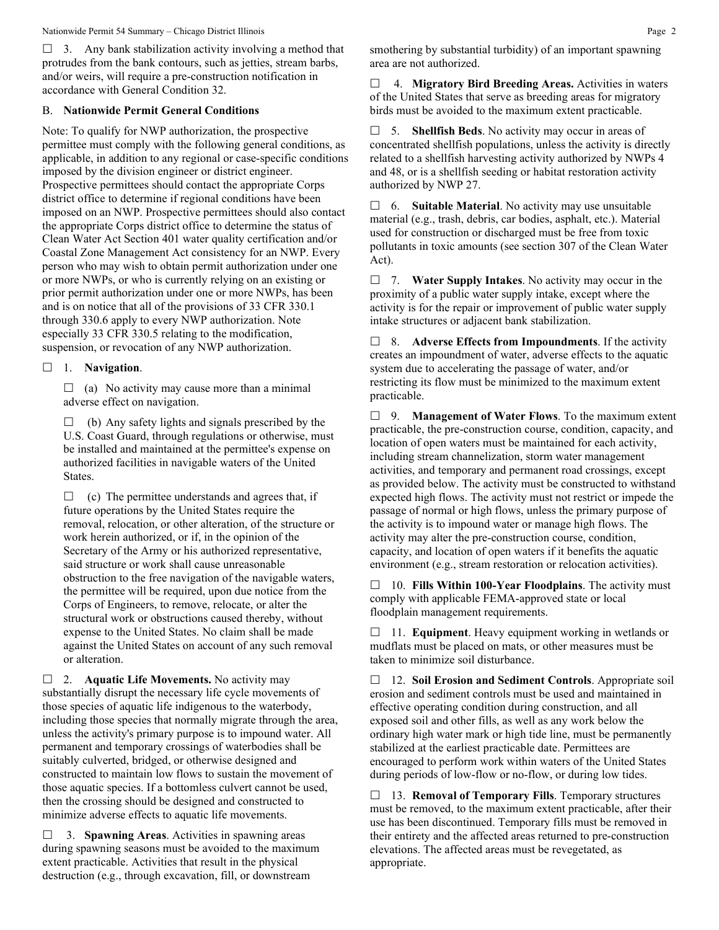$\Box$  3. Any bank stabilization activity involving a method that protrudes from the bank contours, such as jetties, stream barbs, and/or weirs, will require a pre-construction notification in accordance with General Condition 32.

## B. **Nationwide Permit General Conditions**

Note: To qualify for NWP authorization, the prospective permittee must comply with the following general conditions, as applicable, in addition to any regional or case-specific conditions imposed by the division engineer or district engineer. Prospective permittees should contact the appropriate Corps district office to determine if regional conditions have been imposed on an NWP. Prospective permittees should also contact the appropriate Corps district office to determine the status of Clean Water Act Section 401 water quality certification and/or Coastal Zone Management Act consistency for an NWP. Every person who may wish to obtain permit authorization under one or more NWPs, or who is currently relying on an existing or prior permit authorization under one or more NWPs, has been and is on notice that all of the provisions of 33 CFR 330.1 through 330.6 apply to every NWP authorization. Note especially 33 CFR 330.5 relating to the modification, suspension, or revocation of any NWP authorization.

## 1. **Navigation**.

 $\Box$  (a) No activity may cause more than a minimal adverse effect on navigation.

 $\Box$  (b) Any safety lights and signals prescribed by the U.S. Coast Guard, through regulations or otherwise, must be installed and maintained at the permittee's expense on authorized facilities in navigable waters of the United States.

 $\Box$  (c) The permittee understands and agrees that, if future operations by the United States require the removal, relocation, or other alteration, of the structure or work herein authorized, or if, in the opinion of the Secretary of the Army or his authorized representative, said structure or work shall cause unreasonable obstruction to the free navigation of the navigable waters, the permittee will be required, upon due notice from the Corps of Engineers, to remove, relocate, or alter the structural work or obstructions caused thereby, without expense to the United States. No claim shall be made against the United States on account of any such removal or alteration.

□ 2. **Aquatic Life Movements.** No activity may substantially disrupt the necessary life cycle movements of those species of aquatic life indigenous to the waterbody, including those species that normally migrate through the area, unless the activity's primary purpose is to impound water. All permanent and temporary crossings of waterbodies shall be suitably culverted, bridged, or otherwise designed and constructed to maintain low flows to sustain the movement of those aquatic species. If a bottomless culvert cannot be used, then the crossing should be designed and constructed to minimize adverse effects to aquatic life movements.

 3. **Spawning Areas**. Activities in spawning areas during spawning seasons must be avoided to the maximum extent practicable. Activities that result in the physical destruction (e.g., through excavation, fill, or downstream

smothering by substantial turbidity) of an important spawning area are not authorized.

 4. **Migratory Bird Breeding Areas.** Activities in waters of the United States that serve as breeding areas for migratory birds must be avoided to the maximum extent practicable.

 5. **Shellfish Beds**. No activity may occur in areas of concentrated shellfish populations, unless the activity is directly related to a shellfish harvesting activity authorized by NWPs 4 and 48, or is a shellfish seeding or habitat restoration activity authorized by NWP 27.

 6. **Suitable Material**. No activity may use unsuitable material (e.g., trash, debris, car bodies, asphalt, etc.). Material used for construction or discharged must be free from toxic pollutants in toxic amounts (see section 307 of the Clean Water Act).

 7. **Water Supply Intakes**. No activity may occur in the proximity of a public water supply intake, except where the activity is for the repair or improvement of public water supply intake structures or adjacent bank stabilization.

 8. **Adverse Effects from Impoundments**. If the activity creates an impoundment of water, adverse effects to the aquatic system due to accelerating the passage of water, and/or restricting its flow must be minimized to the maximum extent practicable.

 9. **Management of Water Flows**. To the maximum extent practicable, the pre-construction course, condition, capacity, and location of open waters must be maintained for each activity, including stream channelization, storm water management activities, and temporary and permanent road crossings, except as provided below. The activity must be constructed to withstand expected high flows. The activity must not restrict or impede the passage of normal or high flows, unless the primary purpose of the activity is to impound water or manage high flows. The activity may alter the pre-construction course, condition, capacity, and location of open waters if it benefits the aquatic environment (e.g., stream restoration or relocation activities).

 10. **Fills Within 100-Year Floodplains**. The activity must comply with applicable FEMA-approved state or local floodplain management requirements.

 11. **Equipment**. Heavy equipment working in wetlands or mudflats must be placed on mats, or other measures must be taken to minimize soil disturbance.

 12. **Soil Erosion and Sediment Controls**. Appropriate soil erosion and sediment controls must be used and maintained in effective operating condition during construction, and all exposed soil and other fills, as well as any work below the ordinary high water mark or high tide line, must be permanently stabilized at the earliest practicable date. Permittees are encouraged to perform work within waters of the United States during periods of low-flow or no-flow, or during low tides.

 13. **Removal of Temporary Fills**. Temporary structures must be removed, to the maximum extent practicable, after their use has been discontinued. Temporary fills must be removed in their entirety and the affected areas returned to pre-construction elevations. The affected areas must be revegetated, as appropriate.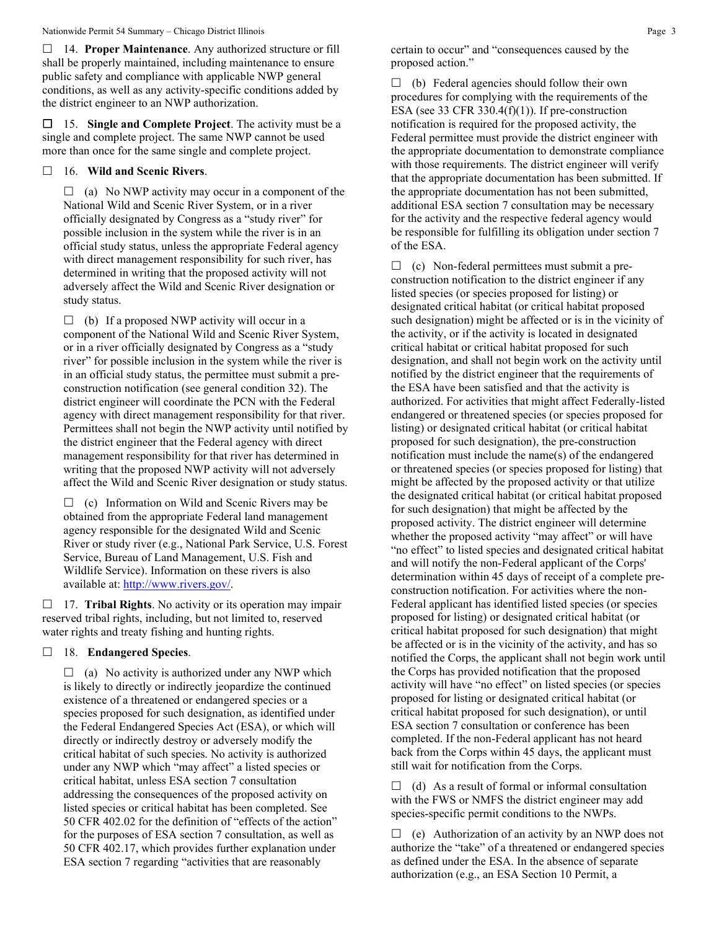#### Nationwide Permit 54 Summary – Chicago District Illinois **Page 3** and the state of the state of the state of the state of the state of the state of the state of the state of the state of the state of the state of the state

 14. **Proper Maintenance**. Any authorized structure or fill shall be properly maintained, including maintenance to ensure public safety and compliance with applicable NWP general conditions, as well as any activity-specific conditions added by the district engineer to an NWP authorization.

 15. **Single and Complete Project**. The activity must be a single and complete project. The same NWP cannot be used more than once for the same single and complete project.

## 16. **Wild and Scenic Rivers**.

 $\Box$  (a) No NWP activity may occur in a component of the National Wild and Scenic River System, or in a river officially designated by Congress as a "study river" for possible inclusion in the system while the river is in an official study status, unless the appropriate Federal agency with direct management responsibility for such river, has determined in writing that the proposed activity will not adversely affect the Wild and Scenic River designation or study status.

 $\Box$  (b) If a proposed NWP activity will occur in a component of the National Wild and Scenic River System, or in a river officially designated by Congress as a "study river" for possible inclusion in the system while the river is in an official study status, the permittee must submit a preconstruction notification (see general condition 32). The district engineer will coordinate the PCN with the Federal agency with direct management responsibility for that river. Permittees shall not begin the NWP activity until notified by the district engineer that the Federal agency with direct management responsibility for that river has determined in writing that the proposed NWP activity will not adversely affect the Wild and Scenic River designation or study status.

 $\Box$  (c) Information on Wild and Scenic Rivers may be obtained from the appropriate Federal land management agency responsible for the designated Wild and Scenic River or study river (e.g., National Park Service, U.S. Forest Service, Bureau of Land Management, U.S. Fish and Wildlife Service). Information on these rivers is also available at: [http://www.rivers.gov/.](http://www.rivers.gov/)

 17. **Tribal Rights**. No activity or its operation may impair reserved tribal rights, including, but not limited to, reserved water rights and treaty fishing and hunting rights.

## 18. **Endangered Species**.

 $\Box$  (a) No activity is authorized under any NWP which is likely to directly or indirectly jeopardize the continued existence of a threatened or endangered species or a species proposed for such designation, as identified under the Federal Endangered Species Act (ESA), or which will directly or indirectly destroy or adversely modify the critical habitat of such species. No activity is authorized under any NWP which "may affect" a listed species or critical habitat, unless ESA section 7 consultation addressing the consequences of the proposed activity on listed species or critical habitat has been completed. See 50 CFR 402.02 for the definition of "effects of the action" for the purposes of ESA section 7 consultation, as well as 50 CFR 402.17, which provides further explanation under ESA section 7 regarding "activities that are reasonably

certain to occur" and "consequences caused by the proposed action."

 $\Box$  (b) Federal agencies should follow their own procedures for complying with the requirements of the ESA (see 33 CFR 330.4 $(f)(1)$ ). If pre-construction notification is required for the proposed activity, the Federal permittee must provide the district engineer with the appropriate documentation to demonstrate compliance with those requirements. The district engineer will verify that the appropriate documentation has been submitted. If the appropriate documentation has not been submitted, additional ESA section 7 consultation may be necessary for the activity and the respective federal agency would be responsible for fulfilling its obligation under section 7 of the ESA.

 $\Box$  (c) Non-federal permittees must submit a preconstruction notification to the district engineer if any listed species (or species proposed for listing) or designated critical habitat (or critical habitat proposed such designation) might be affected or is in the vicinity of the activity, or if the activity is located in designated critical habitat or critical habitat proposed for such designation, and shall not begin work on the activity until notified by the district engineer that the requirements of the ESA have been satisfied and that the activity is authorized. For activities that might affect Federally-listed endangered or threatened species (or species proposed for listing) or designated critical habitat (or critical habitat proposed for such designation), the pre-construction notification must include the name(s) of the endangered or threatened species (or species proposed for listing) that might be affected by the proposed activity or that utilize the designated critical habitat (or critical habitat proposed for such designation) that might be affected by the proposed activity. The district engineer will determine whether the proposed activity "may affect" or will have "no effect" to listed species and designated critical habitat and will notify the non-Federal applicant of the Corps' determination within 45 days of receipt of a complete preconstruction notification. For activities where the non-Federal applicant has identified listed species (or species proposed for listing) or designated critical habitat (or critical habitat proposed for such designation) that might be affected or is in the vicinity of the activity, and has so notified the Corps, the applicant shall not begin work until the Corps has provided notification that the proposed activity will have "no effect" on listed species (or species proposed for listing or designated critical habitat (or critical habitat proposed for such designation), or until ESA section 7 consultation or conference has been completed. If the non-Federal applicant has not heard back from the Corps within 45 days, the applicant must still wait for notification from the Corps.

 $\Box$  (d) As a result of formal or informal consultation with the FWS or NMFS the district engineer may add species-specific permit conditions to the NWPs.

 $\Box$  (e) Authorization of an activity by an NWP does not authorize the "take" of a threatened or endangered species as defined under the ESA. In the absence of separate authorization (e.g., an ESA Section 10 Permit, a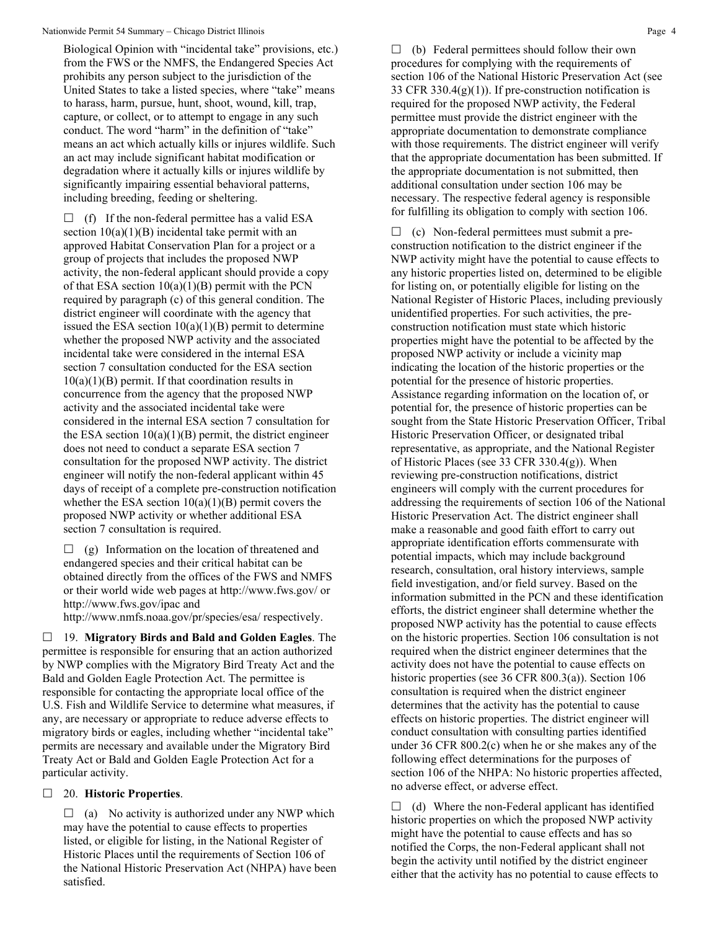Biological Opinion with "incidental take" provisions, etc.) from the FWS or the NMFS, the Endangered Species Act prohibits any person subject to the jurisdiction of the United States to take a listed species, where "take" means to harass, harm, pursue, hunt, shoot, wound, kill, trap, capture, or collect, or to attempt to engage in any such conduct. The word "harm" in the definition of "take" means an act which actually kills or injures wildlife. Such an act may include significant habitat modification or degradation where it actually kills or injures wildlife by significantly impairing essential behavioral patterns, including breeding, feeding or sheltering.

 $\Box$  (f) If the non-federal permittee has a valid ESA section  $10(a)(1)(B)$  incidental take permit with an approved Habitat Conservation Plan for a project or a group of projects that includes the proposed NWP activity, the non-federal applicant should provide a copy of that ESA section  $10(a)(1)(B)$  permit with the PCN required by paragraph (c) of this general condition. The district engineer will coordinate with the agency that issued the ESA section  $10(a)(1)(B)$  permit to determine whether the proposed NWP activity and the associated incidental take were considered in the internal ESA section 7 consultation conducted for the ESA section  $10(a)(1)(B)$  permit. If that coordination results in concurrence from the agency that the proposed NWP activity and the associated incidental take were considered in the internal ESA section 7 consultation for the ESA section  $10(a)(1)(B)$  permit, the district engineer does not need to conduct a separate ESA section 7 consultation for the proposed NWP activity. The district engineer will notify the non-federal applicant within 45 days of receipt of a complete pre-construction notification whether the ESA section  $10(a)(1)(B)$  permit covers the proposed NWP activity or whether additional ESA section 7 consultation is required.

 $\Box$  (g) Information on the location of threatened and endangered species and their critical habitat can be obtained directly from the offices of the FWS and NMFS or their world wide web pages at http://www.fws.gov/ or http://www.fws.gov/ipac and

http://www.nmfs.noaa.gov/pr/species/esa/ respectively.

 19. **Migratory Birds and Bald and Golden Eagles**. The permittee is responsible for ensuring that an action authorized by NWP complies with the Migratory Bird Treaty Act and the Bald and Golden Eagle Protection Act. The permittee is responsible for contacting the appropriate local office of the U.S. Fish and Wildlife Service to determine what measures, if any, are necessary or appropriate to reduce adverse effects to migratory birds or eagles, including whether "incidental take" permits are necessary and available under the Migratory Bird Treaty Act or Bald and Golden Eagle Protection Act for a particular activity.

#### 20. **Historic Properties**.

 $\Box$  (a) No activity is authorized under any NWP which may have the potential to cause effects to properties listed, or eligible for listing, in the National Register of Historic Places until the requirements of Section 106 of the National Historic Preservation Act (NHPA) have been satisfied.

 $\Box$  (b) Federal permittees should follow their own procedures for complying with the requirements of section 106 of the National Historic Preservation Act (see 33 CFR 330.4 $(g)(1)$ ). If pre-construction notification is required for the proposed NWP activity, the Federal permittee must provide the district engineer with the appropriate documentation to demonstrate compliance with those requirements. The district engineer will verify that the appropriate documentation has been submitted. If the appropriate documentation is not submitted, then additional consultation under section 106 may be necessary. The respective federal agency is responsible for fulfilling its obligation to comply with section 106.

 $\Box$  (c) Non-federal permittees must submit a preconstruction notification to the district engineer if the NWP activity might have the potential to cause effects to any historic properties listed on, determined to be eligible for listing on, or potentially eligible for listing on the National Register of Historic Places, including previously unidentified properties. For such activities, the preconstruction notification must state which historic properties might have the potential to be affected by the proposed NWP activity or include a vicinity map indicating the location of the historic properties or the potential for the presence of historic properties. Assistance regarding information on the location of, or potential for, the presence of historic properties can be sought from the State Historic Preservation Officer, Tribal Historic Preservation Officer, or designated tribal representative, as appropriate, and the National Register of Historic Places (see 33 CFR 330.4(g)). When reviewing pre-construction notifications, district engineers will comply with the current procedures for addressing the requirements of section 106 of the National Historic Preservation Act. The district engineer shall make a reasonable and good faith effort to carry out appropriate identification efforts commensurate with potential impacts, which may include background research, consultation, oral history interviews, sample field investigation, and/or field survey. Based on the information submitted in the PCN and these identification efforts, the district engineer shall determine whether the proposed NWP activity has the potential to cause effects on the historic properties. Section 106 consultation is not required when the district engineer determines that the activity does not have the potential to cause effects on historic properties (see 36 CFR 800.3(a)). Section 106 consultation is required when the district engineer determines that the activity has the potential to cause effects on historic properties. The district engineer will conduct consultation with consulting parties identified under 36 CFR 800.2(c) when he or she makes any of the following effect determinations for the purposes of section 106 of the NHPA: No historic properties affected, no adverse effect, or adverse effect.

 $\Box$  (d) Where the non-Federal applicant has identified historic properties on which the proposed NWP activity might have the potential to cause effects and has so notified the Corps, the non-Federal applicant shall not begin the activity until notified by the district engineer either that the activity has no potential to cause effects to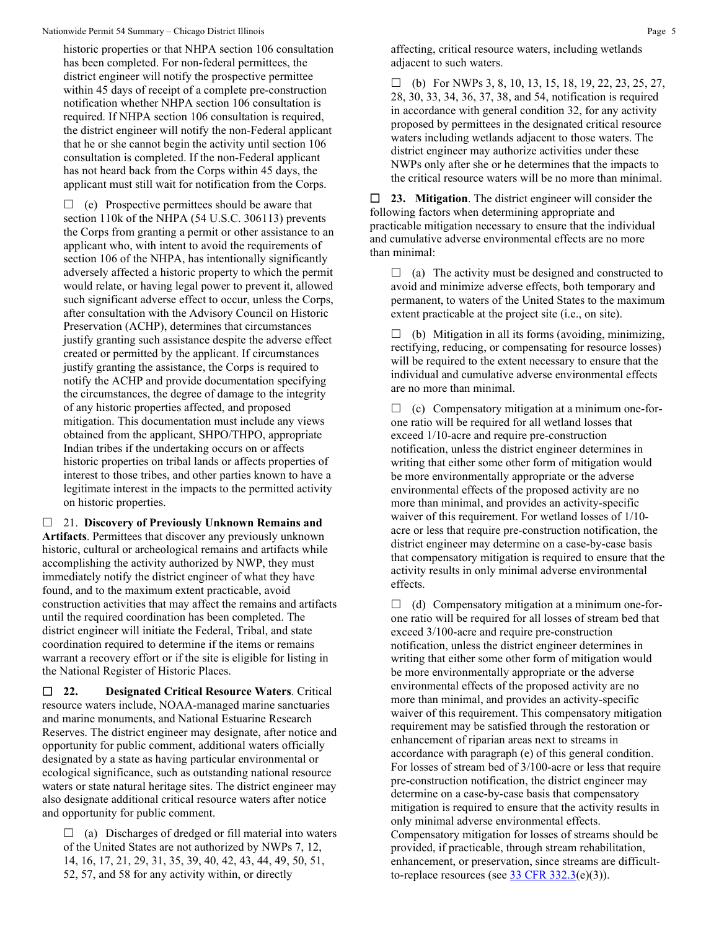historic properties or that NHPA section 106 consultation has been completed. For non-federal permittees, the district engineer will notify the prospective permittee within 45 days of receipt of a complete pre-construction notification whether NHPA section 106 consultation is required. If NHPA section 106 consultation is required, the district engineer will notify the non-Federal applicant that he or she cannot begin the activity until section 106 consultation is completed. If the non-Federal applicant has not heard back from the Corps within 45 days, the applicant must still wait for notification from the Corps.

 $\Box$  (e) Prospective permittees should be aware that section 110k of the NHPA (54 U.S.C. 306113) prevents the Corps from granting a permit or other assistance to an applicant who, with intent to avoid the requirements of section 106 of the NHPA, has intentionally significantly adversely affected a historic property to which the permit would relate, or having legal power to prevent it, allowed such significant adverse effect to occur, unless the Corps, after consultation with the Advisory Council on Historic Preservation (ACHP), determines that circumstances justify granting such assistance despite the adverse effect created or permitted by the applicant. If circumstances justify granting the assistance, the Corps is required to notify the ACHP and provide documentation specifying the circumstances, the degree of damage to the integrity of any historic properties affected, and proposed mitigation. This documentation must include any views obtained from the applicant, SHPO/THPO, appropriate Indian tribes if the undertaking occurs on or affects historic properties on tribal lands or affects properties of interest to those tribes, and other parties known to have a legitimate interest in the impacts to the permitted activity on historic properties.

 21. **Discovery of Previously Unknown Remains and Artifacts**. Permittees that discover any previously unknown historic, cultural or archeological remains and artifacts while accomplishing the activity authorized by NWP, they must immediately notify the district engineer of what they have found, and to the maximum extent practicable, avoid construction activities that may affect the remains and artifacts until the required coordination has been completed. The district engineer will initiate the Federal, Tribal, and state coordination required to determine if the items or remains warrant a recovery effort or if the site is eligible for listing in the National Register of Historic Places.

 **22. Designated Critical Resource Waters**. Critical resource waters include, NOAA-managed marine sanctuaries and marine monuments, and National Estuarine Research Reserves. The district engineer may designate, after notice and opportunity for public comment, additional waters officially designated by a state as having particular environmental or ecological significance, such as outstanding national resource waters or state natural heritage sites. The district engineer may also designate additional critical resource waters after notice and opportunity for public comment.

 $\Box$  (a) Discharges of dredged or fill material into waters of the United States are not authorized by NWPs 7, 12, 14, 16, 17, 21, 29, 31, 35, 39, 40, 42, 43, 44, 49, 50, 51, 52, 57, and 58 for any activity within, or directly

affecting, critical resource waters, including wetlands adjacent to such waters.

 $\Box$  (b) For NWPs 3, 8, 10, 13, 15, 18, 19, 22, 23, 25, 27, 28, 30, 33, 34, 36, 37, 38, and 54, notification is required in accordance with general condition 32, for any activity proposed by permittees in the designated critical resource waters including wetlands adjacent to those waters. The district engineer may authorize activities under these NWPs only after she or he determines that the impacts to the critical resource waters will be no more than minimal.

 **23. Mitigation**. The district engineer will consider the following factors when determining appropriate and practicable mitigation necessary to ensure that the individual and cumulative adverse environmental effects are no more than minimal:

 $\Box$  (a) The activity must be designed and constructed to avoid and minimize adverse effects, both temporary and permanent, to waters of the United States to the maximum extent practicable at the project site (i.e., on site).

 $\Box$  (b) Mitigation in all its forms (avoiding, minimizing, rectifying, reducing, or compensating for resource losses) will be required to the extent necessary to ensure that the individual and cumulative adverse environmental effects are no more than minimal.

 $\Box$  (c) Compensatory mitigation at a minimum one-forone ratio will be required for all wetland losses that exceed 1/10-acre and require pre-construction notification, unless the district engineer determines in writing that either some other form of mitigation would be more environmentally appropriate or the adverse environmental effects of the proposed activity are no more than minimal, and provides an activity-specific waiver of this requirement. For wetland losses of 1/10 acre or less that require pre-construction notification, the district engineer may determine on a case-by-case basis that compensatory mitigation is required to ensure that the activity results in only minimal adverse environmental effects.

 $\Box$  (d) Compensatory mitigation at a minimum one-forone ratio will be required for all losses of stream bed that exceed 3/100-acre and require pre-construction notification, unless the district engineer determines in writing that either some other form of mitigation would be more environmentally appropriate or the adverse environmental effects of the proposed activity are no more than minimal, and provides an activity-specific waiver of this requirement. This compensatory mitigation requirement may be satisfied through the restoration or enhancement of riparian areas next to streams in accordance with paragraph (e) of this general condition. For losses of stream bed of 3/100-acre or less that require pre-construction notification, the district engineer may determine on a case-by-case basis that compensatory mitigation is required to ensure that the activity results in only minimal adverse environmental effects. Compensatory mitigation for losses of streams should be provided, if practicable, through stream rehabilitation, enhancement, or preservation, since streams are difficultto-replace resources (see  $33 \text{ CFR } 332.3(e)(3)$ ).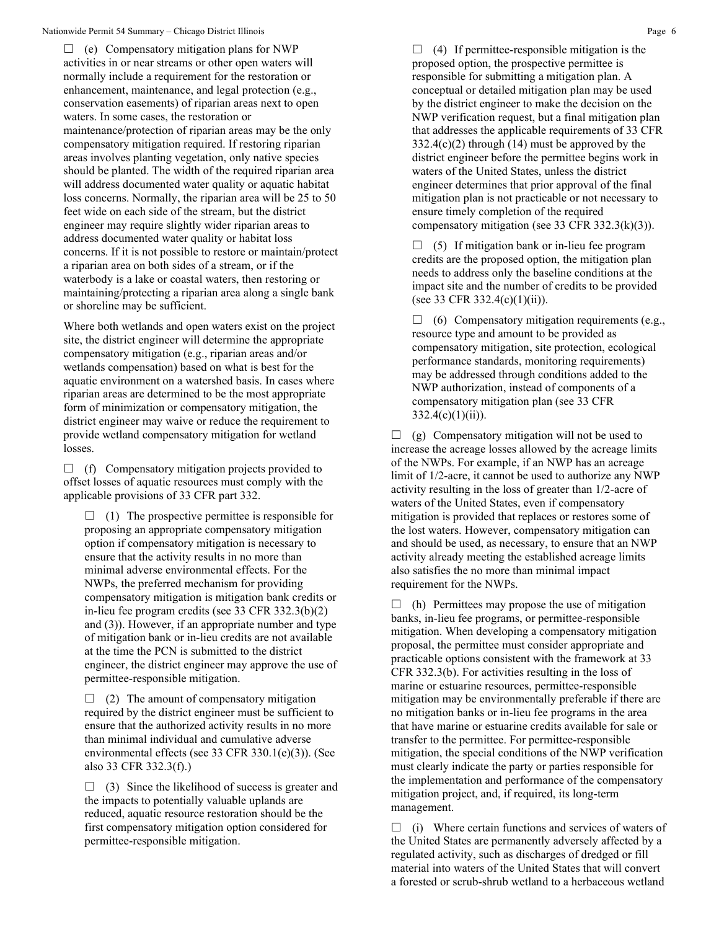$\Box$  (e) Compensatory mitigation plans for NWP activities in or near streams or other open waters will normally include a requirement for the restoration or enhancement, maintenance, and legal protection (e.g., conservation easements) of riparian areas next to open waters. In some cases, the restoration or maintenance/protection of riparian areas may be the only compensatory mitigation required. If restoring riparian areas involves planting vegetation, only native species should be planted. The width of the required riparian area will address documented water quality or aquatic habitat loss concerns. Normally, the riparian area will be 25 to 50 feet wide on each side of the stream, but the district engineer may require slightly wider riparian areas to address documented water quality or habitat loss concerns. If it is not possible to restore or maintain/protect a riparian area on both sides of a stream, or if the waterbody is a lake or coastal waters, then restoring or maintaining/protecting a riparian area along a single bank or shoreline may be sufficient.

Where both wetlands and open waters exist on the project site, the district engineer will determine the appropriate compensatory mitigation (e.g., riparian areas and/or wetlands compensation) based on what is best for the aquatic environment on a watershed basis. In cases where riparian areas are determined to be the most appropriate form of minimization or compensatory mitigation, the district engineer may waive or reduce the requirement to provide wetland compensatory mitigation for wetland losses.

 $\Box$  (f) Compensatory mitigation projects provided to offset losses of aquatic resources must comply with the applicable provisions of 33 CFR part 332.

 $\Box$  (1) The prospective permittee is responsible for proposing an appropriate compensatory mitigation option if compensatory mitigation is necessary to ensure that the activity results in no more than minimal adverse environmental effects. For the NWPs, the preferred mechanism for providing compensatory mitigation is mitigation bank credits or in-lieu fee program credits (see 33 CFR 332.3(b)(2) and (3)). However, if an appropriate number and type of mitigation bank or in-lieu credits are not available at the time the PCN is submitted to the district engineer, the district engineer may approve the use of permittee-responsible mitigation.

 $\Box$  (2) The amount of compensatory mitigation required by the district engineer must be sufficient to ensure that the authorized activity results in no more than minimal individual and cumulative adverse environmental effects (see 33 CFR 330.1(e)(3)). (See also 33 CFR 332.3(f).)

 $\Box$  (3) Since the likelihood of success is greater and the impacts to potentially valuable uplands are reduced, aquatic resource restoration should be the first compensatory mitigation option considered for permittee-responsible mitigation.

 $\Box$  (4) If permittee-responsible mitigation is the proposed option, the prospective permittee is responsible for submitting a mitigation plan. A conceptual or detailed mitigation plan may be used by the district engineer to make the decision on the NWP verification request, but a final mitigation plan that addresses the applicable requirements of 33 CFR  $332.4(c)(2)$  through (14) must be approved by the district engineer before the permittee begins work in waters of the United States, unless the district engineer determines that prior approval of the final mitigation plan is not practicable or not necessary to ensure timely completion of the required compensatory mitigation (see 33 CFR 332.3(k)(3)).

 $\Box$  (5) If mitigation bank or in-lieu fee program credits are the proposed option, the mitigation plan needs to address only the baseline conditions at the impact site and the number of credits to be provided (see 33 CFR 332.4(c)(1)(ii)).

 $\Box$  (6) Compensatory mitigation requirements (e.g., resource type and amount to be provided as compensatory mitigation, site protection, ecological performance standards, monitoring requirements) may be addressed through conditions added to the NWP authorization, instead of components of a compensatory mitigation plan (see 33 CFR  $332.4(c)(1)(ii)$ .

 $\Box$  (g) Compensatory mitigation will not be used to increase the acreage losses allowed by the acreage limits of the NWPs. For example, if an NWP has an acreage limit of 1/2-acre, it cannot be used to authorize any NWP activity resulting in the loss of greater than 1/2-acre of waters of the United States, even if compensatory mitigation is provided that replaces or restores some of the lost waters. However, compensatory mitigation can and should be used, as necessary, to ensure that an NWP activity already meeting the established acreage limits also satisfies the no more than minimal impact requirement for the NWPs.

 $\Box$  (h) Permittees may propose the use of mitigation banks, in-lieu fee programs, or permittee-responsible mitigation. When developing a compensatory mitigation proposal, the permittee must consider appropriate and practicable options consistent with the framework at 33 CFR 332.3(b). For activities resulting in the loss of marine or estuarine resources, permittee-responsible mitigation may be environmentally preferable if there are no mitigation banks or in-lieu fee programs in the area that have marine or estuarine credits available for sale or transfer to the permittee. For permittee-responsible mitigation, the special conditions of the NWP verification must clearly indicate the party or parties responsible for the implementation and performance of the compensatory mitigation project, and, if required, its long-term management.

 $\Box$  (i) Where certain functions and services of waters of the United States are permanently adversely affected by a regulated activity, such as discharges of dredged or fill material into waters of the United States that will convert a forested or scrub-shrub wetland to a herbaceous wetland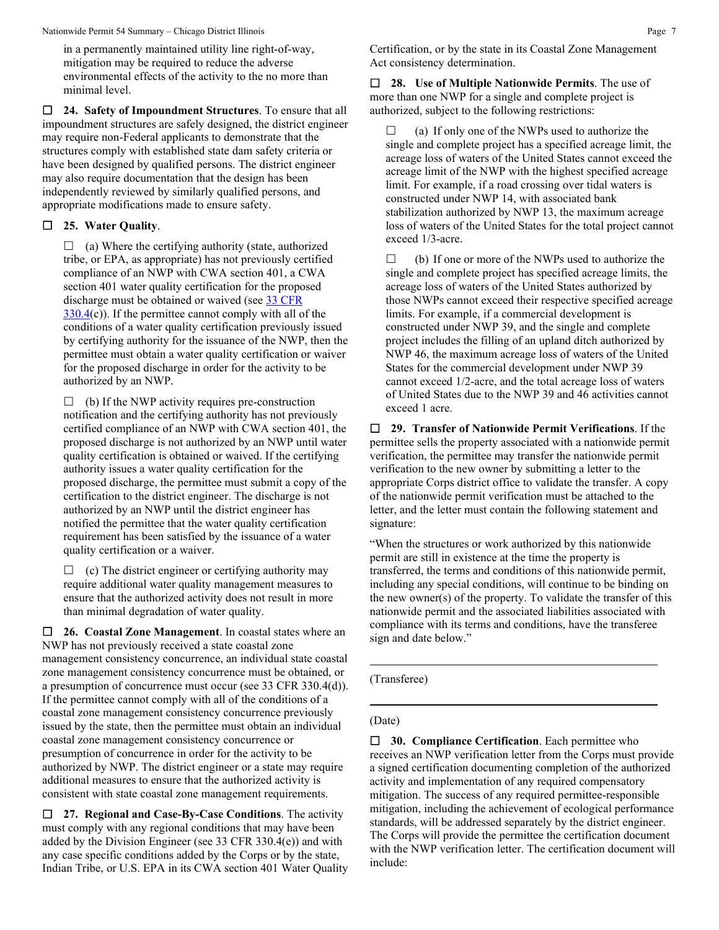in a permanently maintained utility line right-of-way, mitigation may be required to reduce the adverse environmental effects of the activity to the no more than minimal level.

 **24. Safety of Impoundment Structures**. To ensure that all impoundment structures are safely designed, the district engineer may require non-Federal applicants to demonstrate that the structures comply with established state dam safety criteria or have been designed by qualified persons. The district engineer may also require documentation that the design has been independently reviewed by similarly qualified persons, and appropriate modifications made to ensure safety.

## **25. Water Quality**.

 $\Box$  (a) Where the certifying authority (state, authorized tribe, or EPA, as appropriate) has not previously certified compliance of an NWP with CWA section 401, a CWA section 401 water quality certification for the proposed discharge must be obtained or waived (see [33 CFR](https://www.federalregister.gov/select-citation/2021/01/13/33-CFR-330.4)   $330.4(c)$  $330.4(c)$ ). If the permittee cannot comply with all of the conditions of a water quality certification previously issued by certifying authority for the issuance of the NWP, then the permittee must obtain a water quality certification or waiver for the proposed discharge in order for the activity to be authorized by an NWP.

 $\Box$  (b) If the NWP activity requires pre-construction notification and the certifying authority has not previously certified compliance of an NWP with CWA section 401, the proposed discharge is not authorized by an NWP until water quality certification is obtained or waived. If the certifying authority issues a water quality certification for the proposed discharge, the permittee must submit a copy of the certification to the district engineer. The discharge is not authorized by an NWP until the district engineer has notified the permittee that the water quality certification requirement has been satisfied by the issuance of a water quality certification or a waiver.

 $\Box$  (c) The district engineer or certifying authority may require additional water quality management measures to ensure that the authorized activity does not result in more than minimal degradation of water quality.

 **26. Coastal Zone Management**. In coastal states where an NWP has not previously received a state coastal zone management consistency concurrence, an individual state coastal zone management consistency concurrence must be obtained, or a presumption of concurrence must occur (see 33 CFR 330.4(d)). If the permittee cannot comply with all of the conditions of a coastal zone management consistency concurrence previously issued by the state, then the permittee must obtain an individual coastal zone management consistency concurrence or presumption of concurrence in order for the activity to be authorized by NWP. The district engineer or a state may require additional measures to ensure that the authorized activity is consistent with state coastal zone management requirements.

 **27. Regional and Case-By-Case Conditions**. The activity must comply with any regional conditions that may have been added by the Division Engineer (see 33 CFR 330.4(e)) and with any case specific conditions added by the Corps or by the state, Indian Tribe, or U.S. EPA in its CWA section 401 Water Quality Certification, or by the state in its Coastal Zone Management Act consistency determination.

 **28. Use of Multiple Nationwide Permits**. The use of more than one NWP for a single and complete project is authorized, subject to the following restrictions:

 $\Box$  (a) If only one of the NWPs used to authorize the single and complete project has a specified acreage limit, the acreage loss of waters of the United States cannot exceed the acreage limit of the NWP with the highest specified acreage limit. For example, if a road crossing over tidal waters is constructed under NWP 14, with associated bank stabilization authorized by NWP 13, the maximum acreage loss of waters of the United States for the total project cannot exceed 1/3-acre.

 $\Box$  (b) If one or more of the NWPs used to authorize the single and complete project has specified acreage limits, the acreage loss of waters of the United States authorized by those NWPs cannot exceed their respective specified acreage limits. For example, if a commercial development is constructed under NWP 39, and the single and complete project includes the filling of an upland ditch authorized by NWP 46, the maximum acreage loss of waters of the United States for the commercial development under NWP 39 cannot exceed 1/2-acre, and the total acreage loss of waters of United States due to the NWP 39 and 46 activities cannot exceed 1 acre.

 **29. Transfer of Nationwide Permit Verifications**. If the permittee sells the property associated with a nationwide permit verification, the permittee may transfer the nationwide permit verification to the new owner by submitting a letter to the appropriate Corps district office to validate the transfer. A copy of the nationwide permit verification must be attached to the letter, and the letter must contain the following statement and signature:

"When the structures or work authorized by this nationwide permit are still in existence at the time the property is transferred, the terms and conditions of this nationwide permit, including any special conditions, will continue to be binding on the new owner(s) of the property. To validate the transfer of this nationwide permit and the associated liabilities associated with compliance with its terms and conditions, have the transferee sign and date below."

(Transferee)

## (Date)

 **30. Compliance Certification**. Each permittee who receives an NWP verification letter from the Corps must provide a signed certification documenting completion of the authorized activity and implementation of any required compensatory mitigation. The success of any required permittee-responsible mitigation, including the achievement of ecological performance standards, will be addressed separately by the district engineer. The Corps will provide the permittee the certification document with the NWP verification letter. The certification document will include: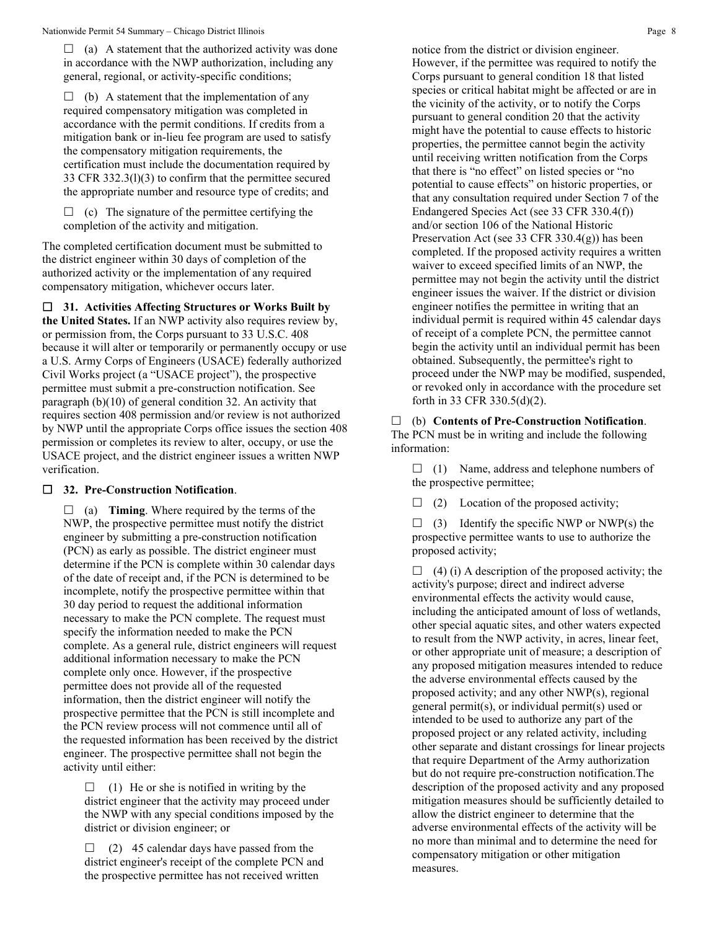$\Box$  (a) A statement that the authorized activity was done in accordance with the NWP authorization, including any general, regional, or activity-specific conditions;

 $\Box$  (b) A statement that the implementation of any required compensatory mitigation was completed in accordance with the permit conditions. If credits from a mitigation bank or in-lieu fee program are used to satisfy the compensatory mitigation requirements, the certification must include the documentation required by 33 CFR 332.3(l)(3) to confirm that the permittee secured the appropriate number and resource type of credits; and

 $\Box$  (c) The signature of the permittee certifying the completion of the activity and mitigation.

The completed certification document must be submitted to the district engineer within 30 days of completion of the authorized activity or the implementation of any required compensatory mitigation, whichever occurs later.

 **31. Activities Affecting Structures or Works Built by the United States.** If an NWP activity also requires review by, or permission from, the Corps pursuant to 33 U.S.C. 408 because it will alter or temporarily or permanently occupy or use a U.S. Army Corps of Engineers (USACE) federally authorized Civil Works project (a "USACE project"), the prospective permittee must submit a pre-construction notification. See paragraph (b)(10) of general condition 32. An activity that requires section 408 permission and/or review is not authorized by NWP until the appropriate Corps office issues the section 408 permission or completes its review to alter, occupy, or use the USACE project, and the district engineer issues a written NWP verification.

## **32. Pre-Construction Notification**.

 $\Box$  (a) **Timing**. Where required by the terms of the NWP, the prospective permittee must notify the district engineer by submitting a pre-construction notification (PCN) as early as possible. The district engineer must determine if the PCN is complete within 30 calendar days of the date of receipt and, if the PCN is determined to be incomplete, notify the prospective permittee within that 30 day period to request the additional information necessary to make the PCN complete. The request must specify the information needed to make the PCN complete. As a general rule, district engineers will request additional information necessary to make the PCN complete only once. However, if the prospective permittee does not provide all of the requested information, then the district engineer will notify the prospective permittee that the PCN is still incomplete and the PCN review process will not commence until all of the requested information has been received by the district engineer. The prospective permittee shall not begin the activity until either:

 $\Box$  (1) He or she is notified in writing by the district engineer that the activity may proceed under the NWP with any special conditions imposed by the district or division engineer; or

 $\Box$  (2) 45 calendar days have passed from the district engineer's receipt of the complete PCN and the prospective permittee has not received written

notice from the district or division engineer. However, if the permittee was required to notify the Corps pursuant to general condition 18 that listed species or critical habitat might be affected or are in the vicinity of the activity, or to notify the Corps pursuant to general condition 20 that the activity might have the potential to cause effects to historic properties, the permittee cannot begin the activity until receiving written notification from the Corps that there is "no effect" on listed species or "no potential to cause effects" on historic properties, or that any consultation required under Section 7 of the Endangered Species Act (see 33 CFR 330.4(f)) and/or section 106 of the National Historic Preservation Act (see 33 CFR 330.4(g)) has been completed. If the proposed activity requires a written waiver to exceed specified limits of an NWP, the permittee may not begin the activity until the district engineer issues the waiver. If the district or division engineer notifies the permittee in writing that an individual permit is required within 45 calendar days of receipt of a complete PCN, the permittee cannot begin the activity until an individual permit has been obtained. Subsequently, the permittee's right to proceed under the NWP may be modified, suspended, or revoked only in accordance with the procedure set forth in 33 CFR 330.5(d)(2).

## (b) **Contents of Pre-Construction Notification**. The PCN must be in writing and include the following information:

 $\Box$  (1) Name, address and telephone numbers of the prospective permittee;

 $\Box$  (2) Location of the proposed activity;

 $\Box$  (3) Identify the specific NWP or NWP(s) the prospective permittee wants to use to authorize the proposed activity;

 $\Box$  (4) (i) A description of the proposed activity; the activity's purpose; direct and indirect adverse environmental effects the activity would cause, including the anticipated amount of loss of wetlands, other special aquatic sites, and other waters expected to result from the NWP activity, in acres, linear feet, or other appropriate unit of measure; a description of any proposed mitigation measures intended to reduce the adverse environmental effects caused by the proposed activity; and any other NWP(s), regional general permit(s), or individual permit(s) used or intended to be used to authorize any part of the proposed project or any related activity, including other separate and distant crossings for linear projects that require Department of the Army authorization but do not require pre-construction notification.The description of the proposed activity and any proposed mitigation measures should be sufficiently detailed to allow the district engineer to determine that the adverse environmental effects of the activity will be no more than minimal and to determine the need for compensatory mitigation or other mitigation measures.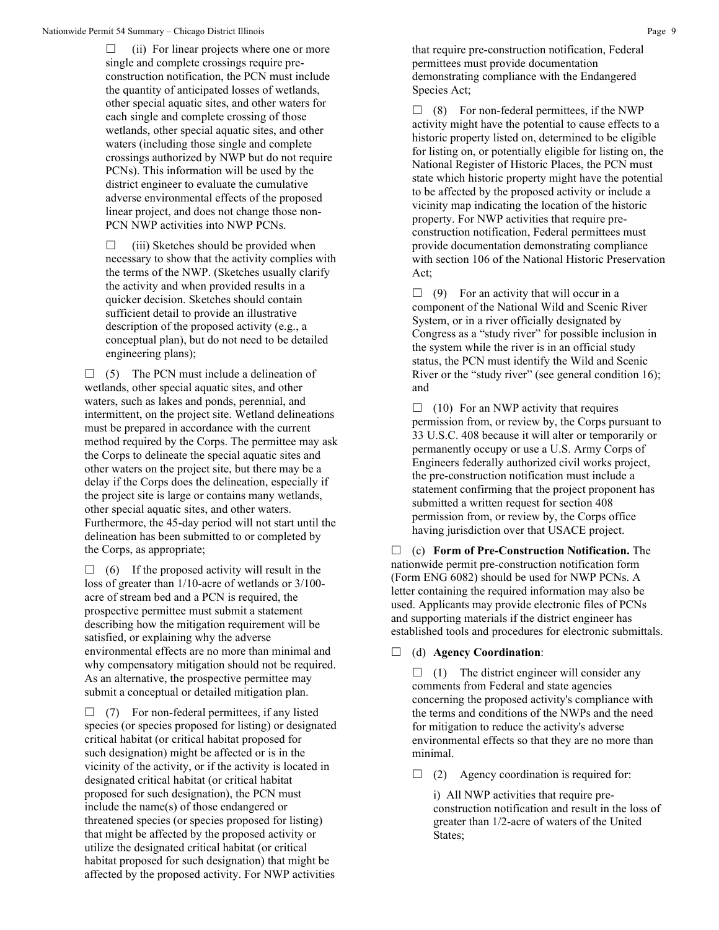$\Box$  (ii) For linear projects where one or more single and complete crossings require preconstruction notification, the PCN must include the quantity of anticipated losses of wetlands, other special aquatic sites, and other waters for each single and complete crossing of those wetlands, other special aquatic sites, and other waters (including those single and complete crossings authorized by NWP but do not require PCNs). This information will be used by the district engineer to evaluate the cumulative adverse environmental effects of the proposed linear project, and does not change those non-PCN NWP activities into NWP PCNs.

 $\Box$  (iii) Sketches should be provided when necessary to show that the activity complies with the terms of the NWP. (Sketches usually clarify the activity and when provided results in a quicker decision. Sketches should contain sufficient detail to provide an illustrative description of the proposed activity (e.g., a conceptual plan), but do not need to be detailed engineering plans);

 $\Box$  (5) The PCN must include a delineation of wetlands, other special aquatic sites, and other waters, such as lakes and ponds, perennial, and intermittent, on the project site. Wetland delineations must be prepared in accordance with the current method required by the Corps. The permittee may ask the Corps to delineate the special aquatic sites and other waters on the project site, but there may be a delay if the Corps does the delineation, especially if the project site is large or contains many wetlands, other special aquatic sites, and other waters. Furthermore, the 45-day period will not start until the delineation has been submitted to or completed by the Corps, as appropriate;

 $\Box$  (6) If the proposed activity will result in the loss of greater than 1/10-acre of wetlands or 3/100 acre of stream bed and a PCN is required, the prospective permittee must submit a statement describing how the mitigation requirement will be satisfied, or explaining why the adverse environmental effects are no more than minimal and why compensatory mitigation should not be required. As an alternative, the prospective permittee may submit a conceptual or detailed mitigation plan.

 $\Box$  (7) For non-federal permittees, if any listed species (or species proposed for listing) or designated critical habitat (or critical habitat proposed for such designation) might be affected or is in the vicinity of the activity, or if the activity is located in designated critical habitat (or critical habitat proposed for such designation), the PCN must include the name(s) of those endangered or threatened species (or species proposed for listing) that might be affected by the proposed activity or utilize the designated critical habitat (or critical habitat proposed for such designation) that might be affected by the proposed activity. For NWP activities

that require pre-construction notification, Federal permittees must provide documentation demonstrating compliance with the Endangered Species Act;

 $\Box$  (8) For non-federal permittees, if the NWP activity might have the potential to cause effects to a historic property listed on, determined to be eligible for listing on, or potentially eligible for listing on, the National Register of Historic Places, the PCN must state which historic property might have the potential to be affected by the proposed activity or include a vicinity map indicating the location of the historic property. For NWP activities that require preconstruction notification, Federal permittees must provide documentation demonstrating compliance with section 106 of the National Historic Preservation Act;

 $\Box$  (9) For an activity that will occur in a component of the National Wild and Scenic River System, or in a river officially designated by Congress as a "study river" for possible inclusion in the system while the river is in an official study status, the PCN must identify the Wild and Scenic River or the "study river" (see general condition 16); and

 $\Box$  (10) For an NWP activity that requires permission from, or review by, the Corps pursuant to 33 U.S.C. 408 because it will alter or temporarily or permanently occupy or use a U.S. Army Corps of Engineers federally authorized civil works project, the pre-construction notification must include a statement confirming that the project proponent has submitted a written request for section 408 permission from, or review by, the Corps office having jurisdiction over that USACE project.

 (c) **Form of Pre-Construction Notification.** The nationwide permit pre-construction notification form (Form ENG 6082) should be used for NWP PCNs. A letter containing the required information may also be used. Applicants may provide electronic files of PCNs and supporting materials if the district engineer has established tools and procedures for electronic submittals.

(d) **Agency Coordination**:

 $\Box$  (1) The district engineer will consider any comments from Federal and state agencies concerning the proposed activity's compliance with the terms and conditions of the NWPs and the need for mitigation to reduce the activity's adverse environmental effects so that they are no more than minimal.

 $\Box$  (2) Agency coordination is required for:

i) All NWP activities that require preconstruction notification and result in the loss of greater than 1/2-acre of waters of the United States;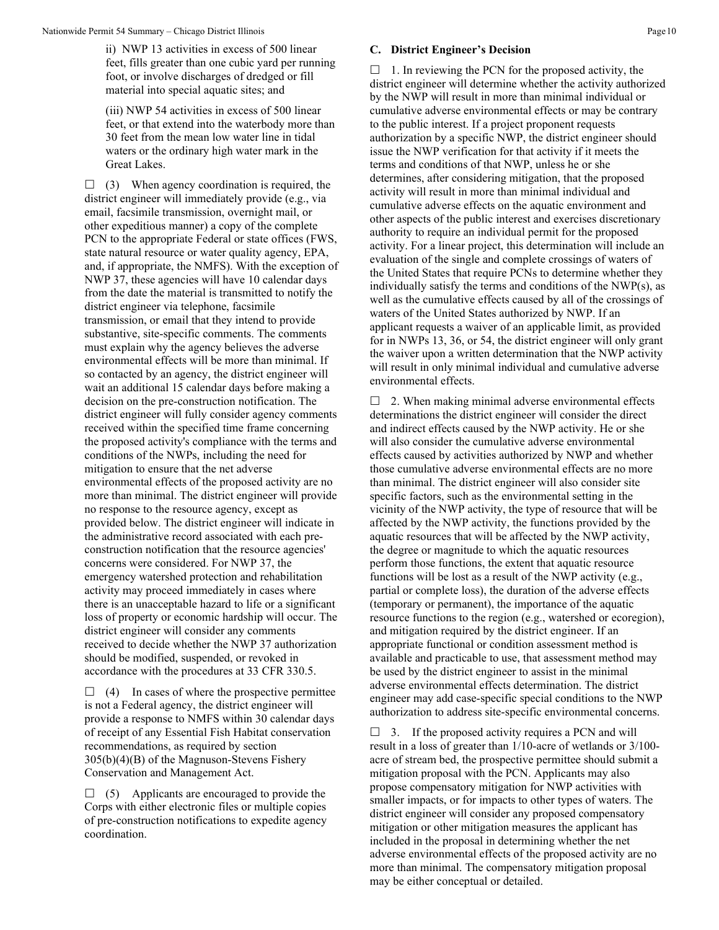ii) NWP 13 activities in excess of 500 linear feet, fills greater than one cubic yard per running foot, or involve discharges of dredged or fill material into special aquatic sites; and

(iii) NWP 54 activities in excess of 500 linear feet, or that extend into the waterbody more than 30 feet from the mean low water line in tidal waters or the ordinary high water mark in the Great Lakes.

 $\Box$  (3) When agency coordination is required, the district engineer will immediately provide (e.g., via email, facsimile transmission, overnight mail, or other expeditious manner) a copy of the complete PCN to the appropriate Federal or state offices (FWS, state natural resource or water quality agency, EPA, and, if appropriate, the NMFS). With the exception of NWP 37, these agencies will have 10 calendar days from the date the material is transmitted to notify the district engineer via telephone, facsimile transmission, or email that they intend to provide substantive, site-specific comments. The comments must explain why the agency believes the adverse environmental effects will be more than minimal. If so contacted by an agency, the district engineer will wait an additional 15 calendar days before making a decision on the pre-construction notification. The district engineer will fully consider agency comments received within the specified time frame concerning the proposed activity's compliance with the terms and conditions of the NWPs, including the need for mitigation to ensure that the net adverse environmental effects of the proposed activity are no more than minimal. The district engineer will provide no response to the resource agency, except as provided below. The district engineer will indicate in the administrative record associated with each preconstruction notification that the resource agencies' concerns were considered. For NWP 37, the emergency watershed protection and rehabilitation activity may proceed immediately in cases where there is an unacceptable hazard to life or a significant loss of property or economic hardship will occur. The district engineer will consider any comments received to decide whether the NWP 37 authorization should be modified, suspended, or revoked in accordance with the procedures at 33 CFR 330.5.

 $\Box$  (4) In cases of where the prospective permittee is not a Federal agency, the district engineer will provide a response to NMFS within 30 calendar days of receipt of any Essential Fish Habitat conservation recommendations, as required by section 305(b)(4)(B) of the Magnuson-Stevens Fishery Conservation and Management Act.

 $\Box$  (5) Applicants are encouraged to provide the Corps with either electronic files or multiple copies of pre-construction notifications to expedite agency coordination.

## **C. District Engineer's Decision**

 $\Box$  1. In reviewing the PCN for the proposed activity, the district engineer will determine whether the activity authorized by the NWP will result in more than minimal individual or cumulative adverse environmental effects or may be contrary to the public interest. If a project proponent requests authorization by a specific NWP, the district engineer should issue the NWP verification for that activity if it meets the terms and conditions of that NWP, unless he or she determines, after considering mitigation, that the proposed activity will result in more than minimal individual and cumulative adverse effects on the aquatic environment and other aspects of the public interest and exercises discretionary authority to require an individual permit for the proposed activity. For a linear project, this determination will include an evaluation of the single and complete crossings of waters of the United States that require PCNs to determine whether they individually satisfy the terms and conditions of the NWP(s), as well as the cumulative effects caused by all of the crossings of waters of the United States authorized by NWP. If an applicant requests a waiver of an applicable limit, as provided for in NWPs 13, 36, or 54, the district engineer will only grant the waiver upon a written determination that the NWP activity will result in only minimal individual and cumulative adverse environmental effects.

 $\Box$  2. When making minimal adverse environmental effects determinations the district engineer will consider the direct and indirect effects caused by the NWP activity. He or she will also consider the cumulative adverse environmental effects caused by activities authorized by NWP and whether those cumulative adverse environmental effects are no more than minimal. The district engineer will also consider site specific factors, such as the environmental setting in the vicinity of the NWP activity, the type of resource that will be affected by the NWP activity, the functions provided by the aquatic resources that will be affected by the NWP activity, the degree or magnitude to which the aquatic resources perform those functions, the extent that aquatic resource functions will be lost as a result of the NWP activity (e.g., partial or complete loss), the duration of the adverse effects (temporary or permanent), the importance of the aquatic resource functions to the region (e.g., watershed or ecoregion), and mitigation required by the district engineer. If an appropriate functional or condition assessment method is available and practicable to use, that assessment method may be used by the district engineer to assist in the minimal adverse environmental effects determination. The district engineer may add case-specific special conditions to the NWP authorization to address site-specific environmental concerns.

 $\Box$  3. If the proposed activity requires a PCN and will result in a loss of greater than 1/10-acre of wetlands or 3/100 acre of stream bed, the prospective permittee should submit a mitigation proposal with the PCN. Applicants may also propose compensatory mitigation for NWP activities with smaller impacts, or for impacts to other types of waters. The district engineer will consider any proposed compensatory mitigation or other mitigation measures the applicant has included in the proposal in determining whether the net adverse environmental effects of the proposed activity are no more than minimal. The compensatory mitigation proposal may be either conceptual or detailed.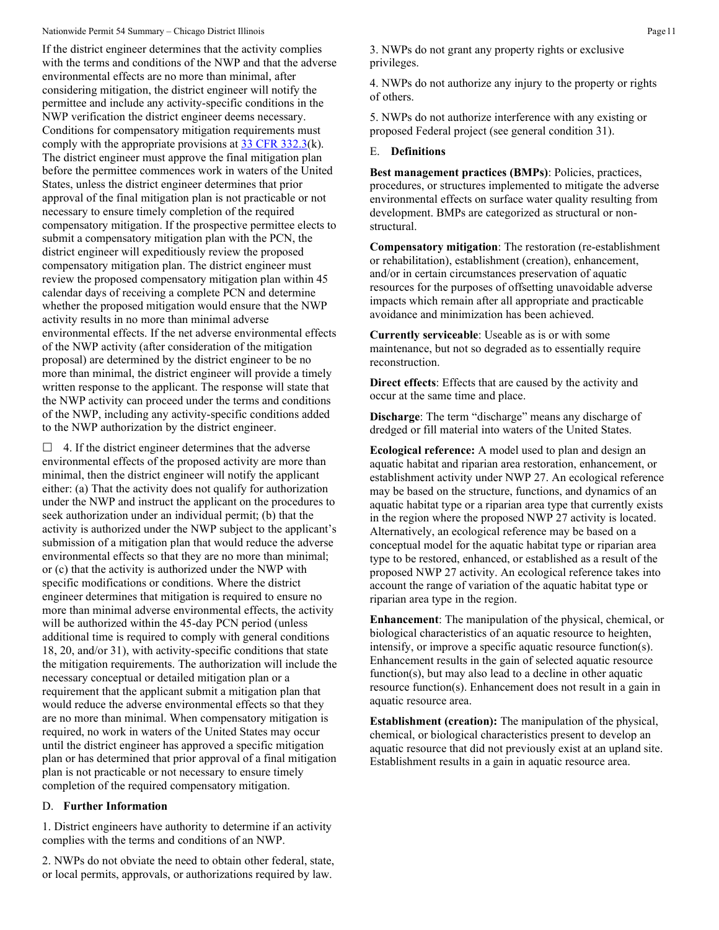If the district engineer determines that the activity complies with the terms and conditions of the NWP and that the adverse environmental effects are no more than minimal, after considering mitigation, the district engineer will notify the permittee and include any activity-specific conditions in the NWP verification the district engineer deems necessary. Conditions for compensatory mitigation requirements must comply with the appropriate provisions at  $33 \text{ CFR } 332.3(k)$ . The district engineer must approve the final mitigation plan before the permittee commences work in waters of the United States, unless the district engineer determines that prior approval of the final mitigation plan is not practicable or not necessary to ensure timely completion of the required compensatory mitigation. If the prospective permittee elects to submit a compensatory mitigation plan with the PCN, the district engineer will expeditiously review the proposed compensatory mitigation plan. The district engineer must review the proposed compensatory mitigation plan within 45 calendar days of receiving a complete PCN and determine whether the proposed mitigation would ensure that the NWP activity results in no more than minimal adverse environmental effects. If the net adverse environmental effects of the NWP activity (after consideration of the mitigation proposal) are determined by the district engineer to be no more than minimal, the district engineer will provide a timely written response to the applicant. The response will state that the NWP activity can proceed under the terms and conditions of the NWP, including any activity-specific conditions added to the NWP authorization by the district engineer.

 $\Box$  4. If the district engineer determines that the adverse environmental effects of the proposed activity are more than minimal, then the district engineer will notify the applicant either: (a) That the activity does not qualify for authorization under the NWP and instruct the applicant on the procedures to seek authorization under an individual permit; (b) that the activity is authorized under the NWP subject to the applicant's submission of a mitigation plan that would reduce the adverse environmental effects so that they are no more than minimal; or (c) that the activity is authorized under the NWP with specific modifications or conditions. Where the district engineer determines that mitigation is required to ensure no more than minimal adverse environmental effects, the activity will be authorized within the 45-day PCN period (unless additional time is required to comply with general conditions 18, 20, and/or 31), with activity-specific conditions that state the mitigation requirements. The authorization will include the necessary conceptual or detailed mitigation plan or a requirement that the applicant submit a mitigation plan that would reduce the adverse environmental effects so that they are no more than minimal. When compensatory mitigation is required, no work in waters of the United States may occur until the district engineer has approved a specific mitigation plan or has determined that prior approval of a final mitigation plan is not practicable or not necessary to ensure timely completion of the required compensatory mitigation.

## D. **Further Information**

1. District engineers have authority to determine if an activity complies with the terms and conditions of an NWP.

2. NWPs do not obviate the need to obtain other federal, state, or local permits, approvals, or authorizations required by law.

4. NWPs do not authorize any injury to the property or rights of others.

5. NWPs do not authorize interference with any existing or proposed Federal project (see general condition 31).

## E. **Definitions**

**Best management practices (BMPs)**: Policies, practices, procedures, or structures implemented to mitigate the adverse environmental effects on surface water quality resulting from development. BMPs are categorized as structural or nonstructural.

**Compensatory mitigation**: The restoration (re-establishment or rehabilitation), establishment (creation), enhancement, and/or in certain circumstances preservation of aquatic resources for the purposes of offsetting unavoidable adverse impacts which remain after all appropriate and practicable avoidance and minimization has been achieved.

**Currently serviceable**: Useable as is or with some maintenance, but not so degraded as to essentially require reconstruction.

**Direct effects**: Effects that are caused by the activity and occur at the same time and place.

**Discharge:** The term "discharge" means any discharge of dredged or fill material into waters of the United States.

**Ecological reference:** A model used to plan and design an aquatic habitat and riparian area restoration, enhancement, or establishment activity under NWP 27. An ecological reference may be based on the structure, functions, and dynamics of an aquatic habitat type or a riparian area type that currently exists in the region where the proposed NWP 27 activity is located. Alternatively, an ecological reference may be based on a conceptual model for the aquatic habitat type or riparian area type to be restored, enhanced, or established as a result of the proposed NWP 27 activity. An ecological reference takes into account the range of variation of the aquatic habitat type or riparian area type in the region.

**Enhancement**: The manipulation of the physical, chemical, or biological characteristics of an aquatic resource to heighten, intensify, or improve a specific aquatic resource function(s). Enhancement results in the gain of selected aquatic resource function(s), but may also lead to a decline in other aquatic resource function(s). Enhancement does not result in a gain in aquatic resource area.

**Establishment (creation):** The manipulation of the physical, chemical, or biological characteristics present to develop an aquatic resource that did not previously exist at an upland site. Establishment results in a gain in aquatic resource area.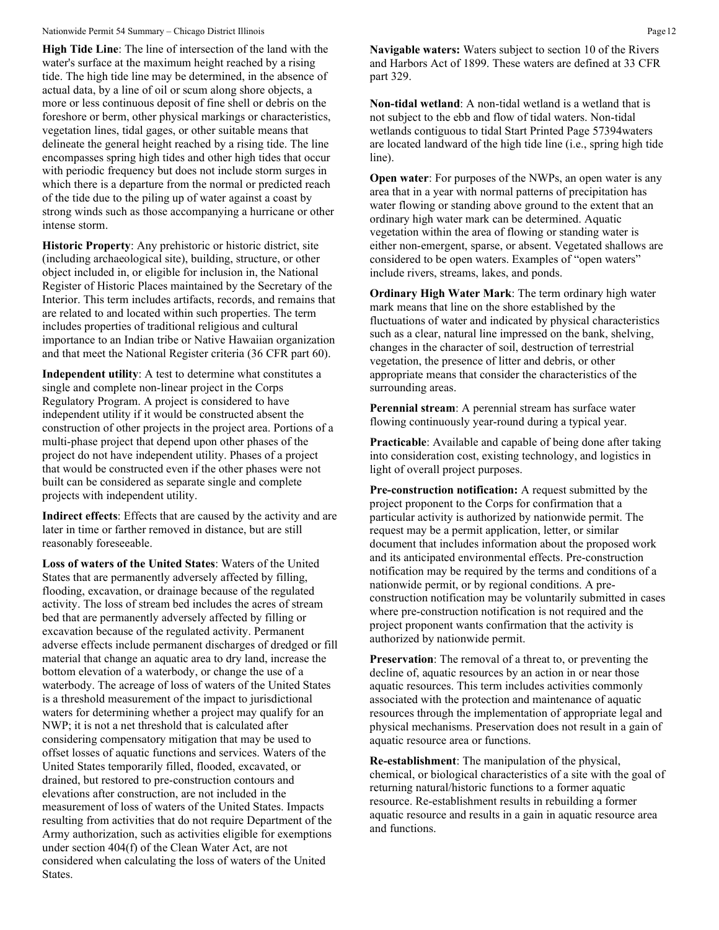**High Tide Line**: The line of intersection of the land with the water's surface at the maximum height reached by a rising tide. The high tide line may be determined, in the absence of actual data, by a line of oil or scum along shore objects, a more or less continuous deposit of fine shell or debris on the foreshore or berm, other physical markings or characteristics, vegetation lines, tidal gages, or other suitable means that delineate the general height reached by a rising tide. The line encompasses spring high tides and other high tides that occur with periodic frequency but does not include storm surges in which there is a departure from the normal or predicted reach of the tide due to the piling up of water against a coast by strong winds such as those accompanying a hurricane or other intense storm.

**Historic Property**: Any prehistoric or historic district, site (including archaeological site), building, structure, or other object included in, or eligible for inclusion in, the National Register of Historic Places maintained by the Secretary of the Interior. This term includes artifacts, records, and remains that are related to and located within such properties. The term includes properties of traditional religious and cultural importance to an Indian tribe or Native Hawaiian organization and that meet the National Register criteria (36 CFR part 60).

**Independent utility**: A test to determine what constitutes a single and complete non-linear project in the Corps Regulatory Program. A project is considered to have independent utility if it would be constructed absent the construction of other projects in the project area. Portions of a multi-phase project that depend upon other phases of the project do not have independent utility. Phases of a project that would be constructed even if the other phases were not built can be considered as separate single and complete projects with independent utility.

**Indirect effects**: Effects that are caused by the activity and are later in time or farther removed in distance, but are still reasonably foreseeable.

**Loss of waters of the United States**: Waters of the United States that are permanently adversely affected by filling, flooding, excavation, or drainage because of the regulated activity. The loss of stream bed includes the acres of stream bed that are permanently adversely affected by filling or excavation because of the regulated activity. Permanent adverse effects include permanent discharges of dredged or fill material that change an aquatic area to dry land, increase the bottom elevation of a waterbody, or change the use of a waterbody. The acreage of loss of waters of the United States is a threshold measurement of the impact to jurisdictional waters for determining whether a project may qualify for an NWP; it is not a net threshold that is calculated after considering compensatory mitigation that may be used to offset losses of aquatic functions and services. Waters of the United States temporarily filled, flooded, excavated, or drained, but restored to pre-construction contours and elevations after construction, are not included in the measurement of loss of waters of the United States. Impacts resulting from activities that do not require Department of the Army authorization, such as activities eligible for exemptions under section 404(f) of the Clean Water Act, are not considered when calculating the loss of waters of the United States.

**Navigable waters:** Waters subject to section 10 of the Rivers and Harbors Act of 1899. These waters are defined at 33 CFR part 329.

**Non-tidal wetland**: A non-tidal wetland is a wetland that is not subject to the ebb and flow of tidal waters. Non-tidal wetlands contiguous to tidal Start Printed Page 57394waters are located landward of the high tide line (i.e., spring high tide line).

**Open water:** For purposes of the NWPs, an open water is any area that in a year with normal patterns of precipitation has water flowing or standing above ground to the extent that an ordinary high water mark can be determined. Aquatic vegetation within the area of flowing or standing water is either non-emergent, sparse, or absent. Vegetated shallows are considered to be open waters. Examples of "open waters" include rivers, streams, lakes, and ponds.

**Ordinary High Water Mark**: The term ordinary high water mark means that line on the shore established by the fluctuations of water and indicated by physical characteristics such as a clear, natural line impressed on the bank, shelving, changes in the character of soil, destruction of terrestrial vegetation, the presence of litter and debris, or other appropriate means that consider the characteristics of the surrounding areas.

**Perennial stream**: A perennial stream has surface water flowing continuously year-round during a typical year.

**Practicable**: Available and capable of being done after taking into consideration cost, existing technology, and logistics in light of overall project purposes.

**Pre-construction notification:** A request submitted by the project proponent to the Corps for confirmation that a particular activity is authorized by nationwide permit. The request may be a permit application, letter, or similar document that includes information about the proposed work and its anticipated environmental effects. Pre-construction notification may be required by the terms and conditions of a nationwide permit, or by regional conditions. A preconstruction notification may be voluntarily submitted in cases where pre-construction notification is not required and the project proponent wants confirmation that the activity is authorized by nationwide permit.

**Preservation**: The removal of a threat to, or preventing the decline of, aquatic resources by an action in or near those aquatic resources. This term includes activities commonly associated with the protection and maintenance of aquatic resources through the implementation of appropriate legal and physical mechanisms. Preservation does not result in a gain of aquatic resource area or functions.

**Re-establishment**: The manipulation of the physical, chemical, or biological characteristics of a site with the goal of returning natural/historic functions to a former aquatic resource. Re-establishment results in rebuilding a former aquatic resource and results in a gain in aquatic resource area and functions.